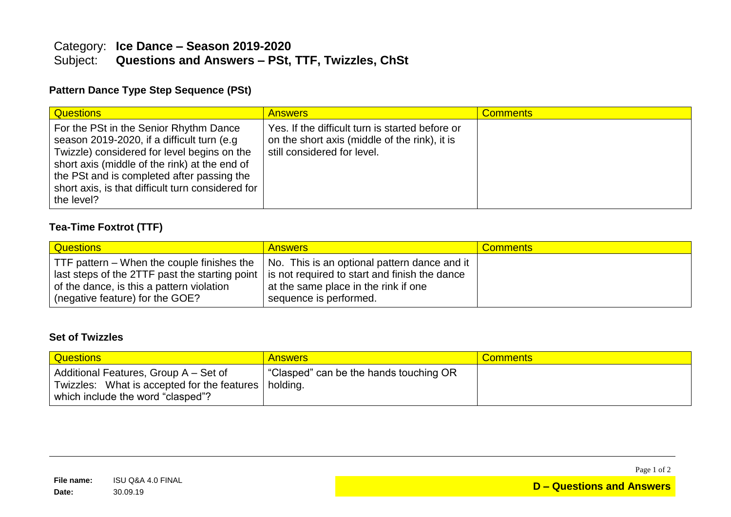# Category: **Ice Dance – Season 2019-2020** Questions and Answers - PSt, TTF, Twizzles, ChSt

### **Pattern Dance Type Step Sequence (PSt)**

| <b>Questions</b>                                                                                                                                                                                                                                                                                       | <b>Answers</b>                                                                                                                  | <b>Comments</b> |
|--------------------------------------------------------------------------------------------------------------------------------------------------------------------------------------------------------------------------------------------------------------------------------------------------------|---------------------------------------------------------------------------------------------------------------------------------|-----------------|
| For the PSt in the Senior Rhythm Dance<br>season 2019-2020, if a difficult turn (e.g.<br>Twizzle) considered for level begins on the<br>short axis (middle of the rink) at the end of<br>the PSt and is completed after passing the<br>short axis, is that difficult turn considered for<br>the level? | Yes. If the difficult turn is started before or<br>on the short axis (middle of the rink), it is<br>still considered for level. |                 |

## **Tea-Time Foxtrot (TTF)**

| <b>Questions</b>                                                                                                                                                                                                             | <b>Answers</b>                                                                                                 | <b>Comments</b> |
|------------------------------------------------------------------------------------------------------------------------------------------------------------------------------------------------------------------------------|----------------------------------------------------------------------------------------------------------------|-----------------|
| TTF pattern – When the couple finishes the<br>last steps of the 2TTF past the starting point   is not required to start and finish the dance<br>of the dance, is this a pattern violation<br>(negative feature) for the GOE? | No. This is an optional pattern dance and it<br>at the same place in the rink if one<br>sequence is performed. |                 |

#### **Set of Twizzles**

| <b>Questions</b>                                                                                                                     | <b>Answers</b>                         | <b>Comments</b> |
|--------------------------------------------------------------------------------------------------------------------------------------|----------------------------------------|-----------------|
| Additional Features, Group A – Set of<br>Twizzles: What is accepted for the features   holding.<br>which include the word "clasped"? | "Clasped" can be the hands touching OR |                 |

Page 1 of 2